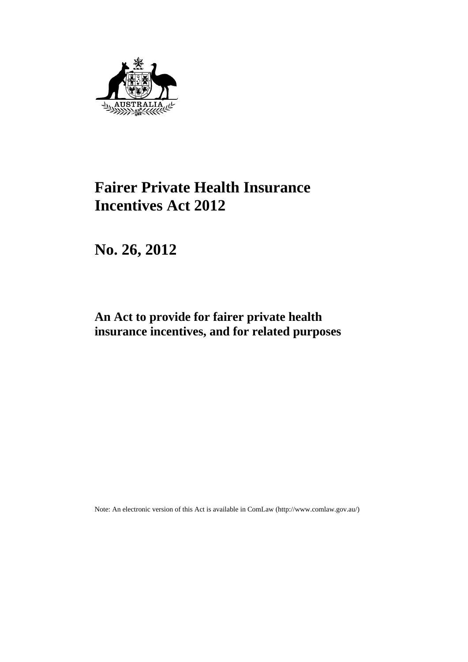

# **Fairer Private Health Insurance Incentives Act 2012**

**No. 26, 2012** 

# **An Act to provide for fairer private health insurance incentives, and for related purposes**

Note: An electronic version of this Act is available in ComLaw (http://www.comlaw.gov.au/)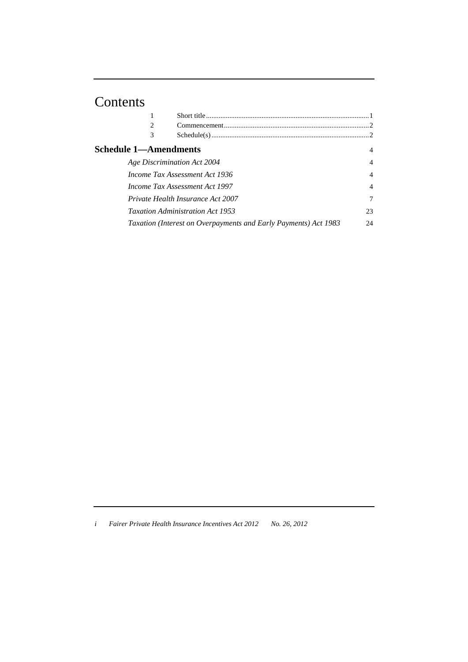# Contents

| $\mathfrak{D}$                                          |                                                                 |                |
|---------------------------------------------------------|-----------------------------------------------------------------|----------------|
| 3                                                       |                                                                 |                |
| <b>Schedule 1—Amendments</b>                            |                                                                 | 4              |
|                                                         | Age Discrimination Act 2004                                     | $\overline{4}$ |
| Income Tax Assessment Act 1936                          |                                                                 |                |
| <i>Income Tax Assessment Act 1997</i><br>$\overline{4}$ |                                                                 |                |
|                                                         | Private Health Insurance Act 2007                               | 7              |
|                                                         | <i>Taxation Administration Act 1953</i>                         | 23             |
|                                                         | Taxation (Interest on Overpayments and Early Payments) Act 1983 | 24             |
|                                                         |                                                                 |                |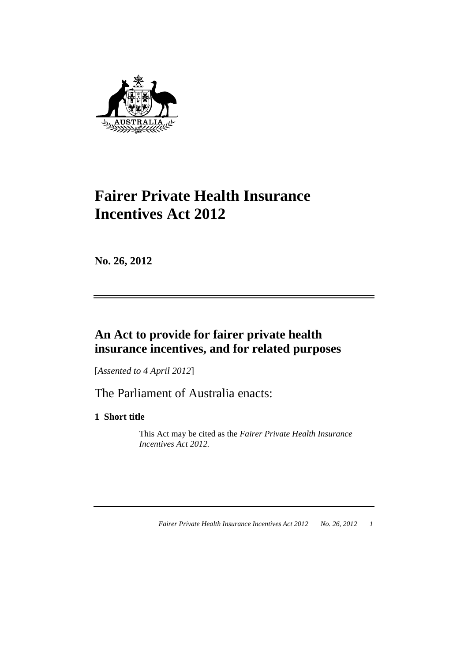

# **Fairer Private Health Insurance Incentives Act 2012**

**No. 26, 2012** 

# **An Act to provide for fairer private health insurance incentives, and for related purposes**

[*Assented to 4 April 2012*]

The Parliament of Australia enacts:

**1 Short title** 

 This Act may be cited as the *Fairer Private Health Insurance Incentives Act 2012.*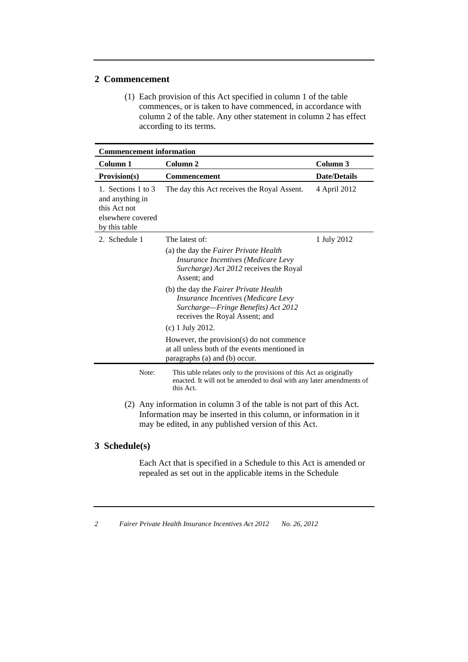# **2 Commencement**

 (1) Each provision of this Act specified in column 1 of the table commences, or is taken to have commenced, in accordance with column 2 of the table. Any other statement in column 2 has effect according to its terms.

| <b>Commencement information</b>                                                             |                                                                                                                                                                                                   |                     |  |
|---------------------------------------------------------------------------------------------|---------------------------------------------------------------------------------------------------------------------------------------------------------------------------------------------------|---------------------|--|
| Column 1                                                                                    | Column <sub>2</sub>                                                                                                                                                                               | Column <sub>3</sub> |  |
| Provision(s)                                                                                | <b>Commencement</b>                                                                                                                                                                               | <b>Date/Details</b> |  |
| 1. Sections 1 to 3<br>and anything in<br>this Act not<br>elsewhere covered<br>by this table | The day this Act receives the Royal Assent.                                                                                                                                                       | 4 April 2012        |  |
| 2. Schedule 1                                                                               | The latest of:                                                                                                                                                                                    | 1 July 2012         |  |
|                                                                                             | (a) the day the <i>Fairer Private Health</i><br><i>Insurance Incentives (Medicare Levy</i><br>Surcharge) Act 2012 receives the Royal<br>Assent: and                                               |                     |  |
|                                                                                             | (b) the day the <i>Fairer Private Health</i><br>Insurance Incentives (Medicare Levy<br>Surcharge-Fringe Benefits) Act 2012<br>receives the Royal Assent; and                                      |                     |  |
|                                                                                             | $(c)$ 1 July 2012.                                                                                                                                                                                |                     |  |
|                                                                                             | However, the provision(s) do not commence<br>at all unless both of the events mentioned in<br>paragraphs (a) and (b) occur.                                                                       |                     |  |
| Note:                                                                                       | This table relates only to the provisions of this Act as originally<br>enacted. It will not be amended to deal with any later amendments of<br>this Act.                                          |                     |  |
|                                                                                             | (2) Any information in column 3 of the table is not part of this Act.<br>Information may be inserted in this column, or information in it<br>may be edited, in any published version of this Act. |                     |  |

# **3 Schedule(s)**

 Each Act that is specified in a Schedule to this Act is amended or repealed as set out in the applicable items in the Schedule

*<sup>2</sup> Fairer Private Health Insurance Incentives Act 2012 No. 26, 2012*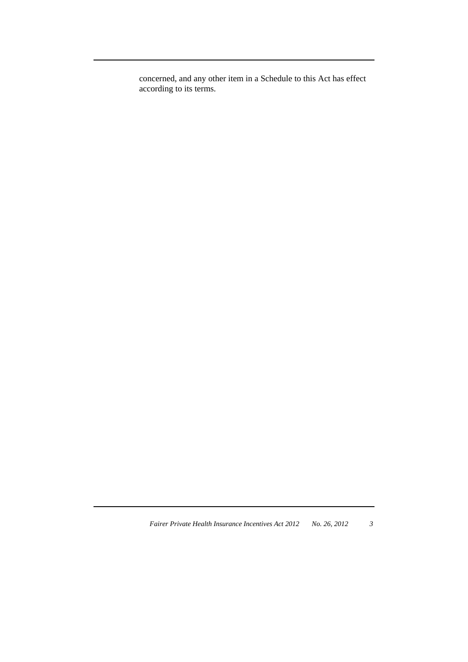concerned, and any other item in a Schedule to this Act has effect according to its terms.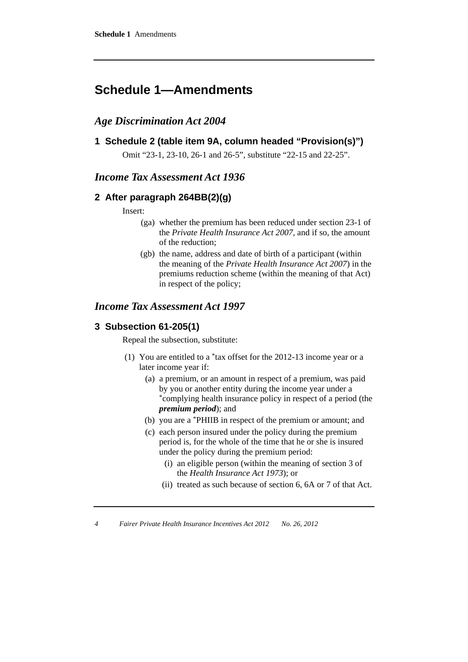# **Schedule 1—Amendments**

# *Age Discrimination Act 2004*

**1 Schedule 2 (table item 9A, column headed "Provision(s)")** 

Omit "23-1, 23-10, 26-1 and 26-5", substitute "22-15 and 22-25".

# *Income Tax Assessment Act 1936*

# **2 After paragraph 264BB(2)(g)**

Insert:

- (ga) whether the premium has been reduced under section 23-1 of the *Private Health Insurance Act 2007*, and if so, the amount of the reduction;
- (gb) the name, address and date of birth of a participant (within the meaning of the *Private Health Insurance Act 2007*) in the premiums reduction scheme (within the meaning of that Act) in respect of the policy;

# *Income Tax Assessment Act 1997*

### **3 Subsection 61-205(1)**

Repeal the subsection, substitute:

- (1) You are entitled to a \*tax offset for the 2012-13 income year or a later income year if:
	- (a) a premium, or an amount in respect of a premium, was paid by you or another entity during the income year under a \*complying health insurance policy in respect of a period (the *premium period*); and
	- (b) you are a \*PHIIB in respect of the premium or amount; and
	- (c) each person insured under the policy during the premium period is, for the whole of the time that he or she is insured under the policy during the premium period:
		- (i) an eligible person (within the meaning of section 3 of the *Health Insurance Act 1973*); or
		- (ii) treated as such because of section 6, 6A or 7 of that Act.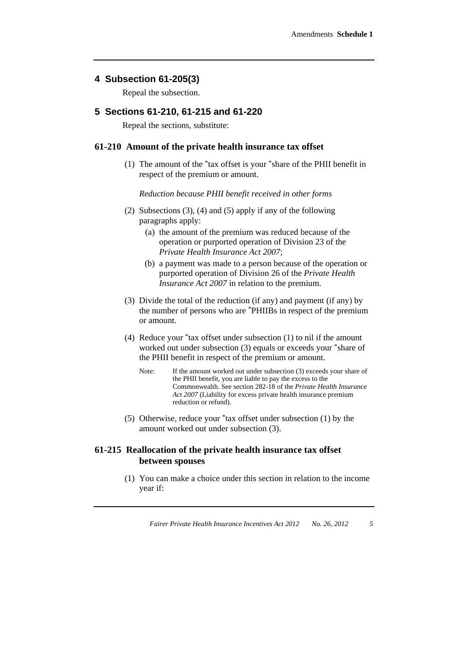#### **4 Subsection 61-205(3)**

Repeal the subsection.

#### **5 Sections 61-210, 61-215 and 61-220**

Repeal the sections, substitute:

#### **61-210 Amount of the private health insurance tax offset**

 (1) The amount of the \*tax offset is your \*share of the PHII benefit in respect of the premium or amount.

*Reduction because PHII benefit received in other forms* 

- (2) Subsections (3), (4) and (5) apply if any of the following paragraphs apply:
	- (a) the amount of the premium was reduced because of the operation or purported operation of Division 23 of the *Private Health Insurance Act 2007*;
	- (b) a payment was made to a person because of the operation or purported operation of Division 26 of the *Private Health Insurance Act 2007* in relation to the premium.
- (3) Divide the total of the reduction (if any) and payment (if any) by the number of persons who are \*PHIIBs in respect of the premium or amount.
- (4) Reduce your \*tax offset under subsection (1) to nil if the amount worked out under subsection (3) equals or exceeds your \*share of the PHII benefit in respect of the premium or amount.
	- Note: If the amount worked out under subsection (3) exceeds your share of the PHII benefit, you are liable to pay the excess to the Commonwealth. See section 282-18 of the *Private Health Insurance Act 2007* (Liability for excess private health insurance premium reduction or refund).
- (5) Otherwise, reduce your \*tax offset under subsection (1) by the amount worked out under subsection (3).

#### **61-215 Reallocation of the private health insurance tax offset between spouses**

 (1) You can make a choice under this section in relation to the income year if: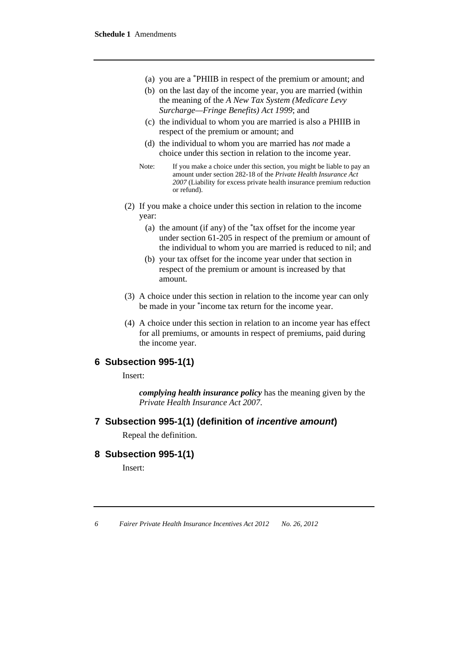- (a) you are a \*PHIIB in respect of the premium or amount; and
- (b) on the last day of the income year, you are married (within the meaning of the *A New Tax System (Medicare Levy Surcharge—Fringe Benefits) Act 1999*; and
- (c) the individual to whom you are married is also a PHIIB in respect of the premium or amount; and
- (d) the individual to whom you are married has *not* made a choice under this section in relation to the income year.
- Note: If you make a choice under this section, you might be liable to pay an amount under section 282-18 of the *Private Health Insurance Act 2007* (Liability for excess private health insurance premium reduction or refund).
- (2) If you make a choice under this section in relation to the income year:
	- (a) the amount (if any) of the *\**tax offset for the income year under section 61-205 in respect of the premium or amount of the individual to whom you are married is reduced to nil; and
	- (b) your tax offset for the income year under that section in respect of the premium or amount is increased by that amount.
- (3) A choice under this section in relation to the income year can only be made in your \*income tax return for the income year.
- (4) A choice under this section in relation to an income year has effect for all premiums, or amounts in respect of premiums, paid during the income year.

#### **6 Subsection 995-1(1)**

Insert:

*complying health insurance policy* has the meaning given by the *Private Health Insurance Act 2007*.

#### **7 Subsection 995-1(1) (definition of** *incentive amount***)**

Repeal the definition.

#### **8 Subsection 995-1(1)**

Insert: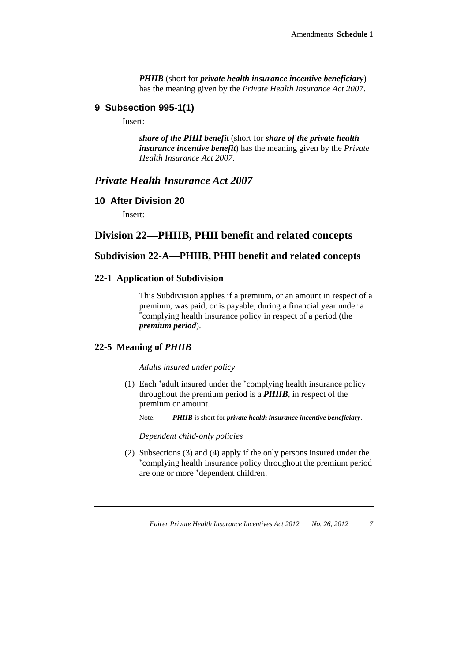*PHIIB* (short for *private health insurance incentive beneficiary*) has the meaning given by the *Private Health Insurance Act 2007*.

#### **9 Subsection 995-1(1)**

Insert:

*share of the PHII benefit* (short for *share of the private health insurance incentive benefit*) has the meaning given by the *Private Health Insurance Act 2007*.

# *Private Health Insurance Act 2007*

#### **10 After Division 20**

Insert:

# **Division 22—PHIIB, PHII benefit and related concepts**

# **Subdivision 22-A—PHIIB, PHII benefit and related concepts**

#### **22-1 Application of Subdivision**

 This Subdivision applies if a premium, or an amount in respect of a premium, was paid, or is payable, during a financial year under a \*complying health insurance policy in respect of a period (the *premium period*).

#### **22-5 Meaning of** *PHIIB*

#### *Adults insured under policy*

 (1) Each \*adult insured under the \*complying health insurance policy throughout the premium period is a *PHIIB*, in respect of the premium or amount.

Note: *PHIIB* is short for *private health insurance incentive beneficiary*.

*Dependent child-only policies* 

 (2) Subsections (3) and (4) apply if the only persons insured under the \*complying health insurance policy throughout the premium period are one or more \*dependent children.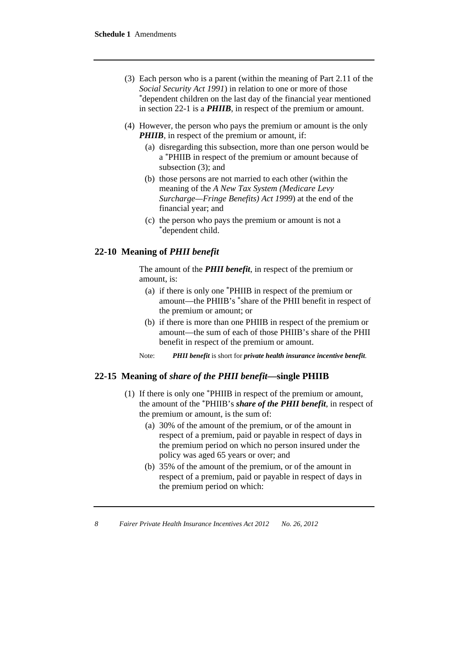- (3) Each person who is a parent (within the meaning of Part 2.11 of the *Social Security Act 1991*) in relation to one or more of those \*dependent children on the last day of the financial year mentioned in section 22-1 is a *PHIIB*, in respect of the premium or amount.
- (4) However, the person who pays the premium or amount is the only *PHIIB*, in respect of the premium or amount, if:
	- (a) disregarding this subsection, more than one person would be a \*PHIIB in respect of the premium or amount because of subsection (3); and
	- (b) those persons are not married to each other (within the meaning of the *A New Tax System (Medicare Levy Surcharge—Fringe Benefits) Act 1999*) at the end of the financial year; and
	- (c) the person who pays the premium or amount is not a \*dependent child.

#### **22-10 Meaning of** *PHII benefit*

 The amount of the *PHII benefit*, in respect of the premium or amount, is:

- (a) if there is only one \*PHIIB in respect of the premium or amount—the PHIIB's \*share of the PHII benefit in respect of the premium or amount; or
- (b) if there is more than one PHIIB in respect of the premium or amount—the sum of each of those PHIIB's share of the PHII benefit in respect of the premium or amount.
- Note: *PHII benefit* is short for *private health insurance incentive benefit*.

#### **22-15 Meaning of** *share of the PHII benefit***—single PHIIB**

- (1) If there is only one \*PHIIB in respect of the premium or amount, the amount of the \*PHIIB's *share of the PHII benefit*, in respect of the premium or amount, is the sum of:
	- (a) 30% of the amount of the premium, or of the amount in respect of a premium, paid or payable in respect of days in the premium period on which no person insured under the policy was aged 65 years or over; and
	- (b) 35% of the amount of the premium, or of the amount in respect of a premium, paid or payable in respect of days in the premium period on which: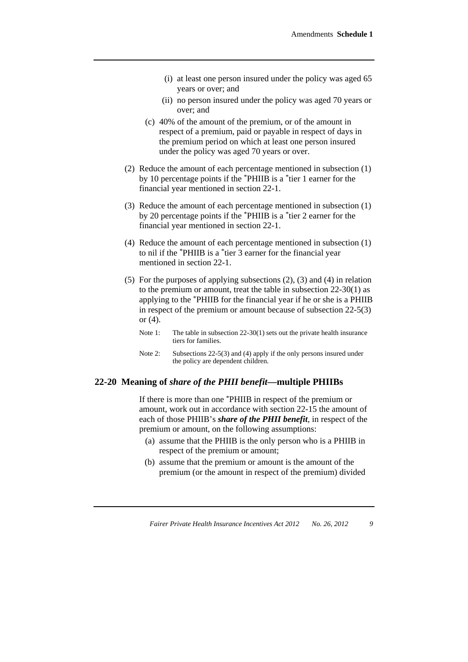- (i) at least one person insured under the policy was aged 65 years or over; and
- (ii) no person insured under the policy was aged 70 years or over; and
- (c) 40% of the amount of the premium, or of the amount in respect of a premium, paid or payable in respect of days in the premium period on which at least one person insured under the policy was aged 70 years or over.
- (2) Reduce the amount of each percentage mentioned in subsection (1) by 10 percentage points if the \*PHIIB is a \*tier 1 earner for the financial year mentioned in section 22-1.
- (3) Reduce the amount of each percentage mentioned in subsection (1) by 20 percentage points if the \*PHIIB is a \*tier 2 earner for the financial year mentioned in section 22-1.
- (4) Reduce the amount of each percentage mentioned in subsection (1) to nil if the \*PHIIB is a \*tier 3 earner for the financial year mentioned in section 22-1.
- (5) For the purposes of applying subsections (2), (3) and (4) in relation to the premium or amount, treat the table in subsection 22-30(1) as applying to the \*PHIIB for the financial year if he or she is a PHIIB in respect of the premium or amount because of subsection 22-5(3) or (4).
	- Note 1: The table in subsection 22-30(1) sets out the private health insurance tiers for families.
	- Note 2: Subsections 22-5(3) and (4) apply if the only persons insured under the policy are dependent children.

#### **22-20 Meaning of** *share of the PHII benefit***—multiple PHIIBs**

 If there is more than one \*PHIIB in respect of the premium or amount, work out in accordance with section 22-15 the amount of each of those PHIIB's *share of the PHII benefit*, in respect of the premium or amount, on the following assumptions:

- (a) assume that the PHIIB is the only person who is a PHIIB in respect of the premium or amount;
- (b) assume that the premium or amount is the amount of the premium (or the amount in respect of the premium) divided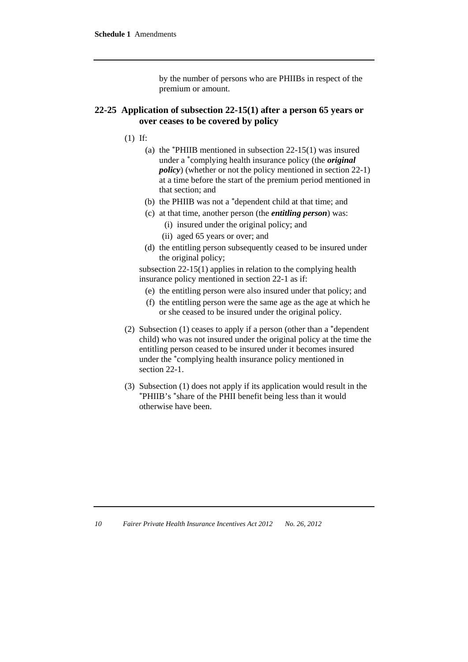by the number of persons who are PHIIBs in respect of the premium or amount.

#### **22-25 Application of subsection 22-15(1) after a person 65 years or over ceases to be covered by policy**

- (1) If:
	- (a) the \*PHIIB mentioned in subsection 22-15(1) was insured under a \*complying health insurance policy (the *original policy*) (whether or not the policy mentioned in section 22-1) at a time before the start of the premium period mentioned in that section; and
	- (b) the PHIIB was not a \*dependent child at that time; and
	- (c) at that time, another person (the *entitling person*) was:
		- (i) insured under the original policy; and
		- (ii) aged 65 years or over; and
	- (d) the entitling person subsequently ceased to be insured under the original policy;

subsection 22-15(1) applies in relation to the complying health insurance policy mentioned in section 22-1 as if:

- (e) the entitling person were also insured under that policy; and
- (f) the entitling person were the same age as the age at which he or she ceased to be insured under the original policy.
- (2) Subsection (1) ceases to apply if a person (other than a \*dependent child) who was not insured under the original policy at the time the entitling person ceased to be insured under it becomes insured under the \*complying health insurance policy mentioned in section 22-1.
- (3) Subsection (1) does not apply if its application would result in the \*PHIIB's \*share of the PHII benefit being less than it would otherwise have been.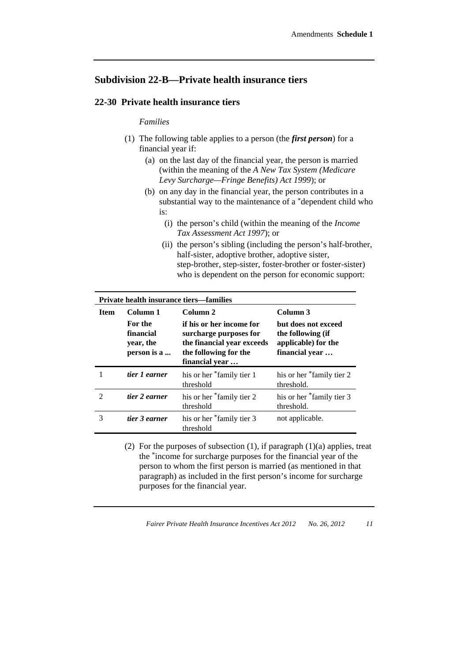# **Subdivision 22-B—Private health insurance tiers**

#### **22-30 Private health insurance tiers**

#### *Families*

- (1) The following table applies to a person (the *first person*) for a financial year if:
	- (a) on the last day of the financial year, the person is married (within the meaning of the *A New Tax System (Medicare Levy Surcharge—Fringe Benefits) Act 1999*); or
	- (b) on any day in the financial year, the person contributes in a substantial way to the maintenance of a \*dependent child who is:
		- (i) the person's child (within the meaning of the *Income Tax Assessment Act 1997*); or
		- (ii) the person's sibling (including the person's half-brother, half-sister, adoptive brother, adoptive sister, step-brother, step-sister, foster-brother or foster-sister) who is dependent on the person for economic support:

| <b>Private health insurance tiers—families</b> |                                                  |                                                                                                                             |                                                                                   |
|------------------------------------------------|--------------------------------------------------|-----------------------------------------------------------------------------------------------------------------------------|-----------------------------------------------------------------------------------|
| <b>Item</b>                                    | Column 1                                         | Column <sub>2</sub>                                                                                                         | Column 3                                                                          |
|                                                | For the<br>financial<br>year, the<br>person is a | if his or her income for<br>surcharge purposes for<br>the financial year exceeds<br>the following for the<br>financial year | but does not exceed<br>the following (if<br>applicable) for the<br>financial year |
|                                                | tier 1 earner                                    | his or her *family tier 1<br>threshold                                                                                      | his or her *family tier 2<br>threshold.                                           |
| 2                                              | tier 2 earner                                    | his or her *family tier 2<br>threshold                                                                                      | his or her *family tier 3<br>threshold.                                           |
| 3                                              | tier 3 earner                                    | his or her *family tier 3<br>threshold                                                                                      | not applicable.                                                                   |

(2) For the purposes of subsection  $(1)$ , if paragraph  $(1)(a)$  applies, treat the \*income for surcharge purposes for the financial year of the person to whom the first person is married (as mentioned in that paragraph) as included in the first person's income for surcharge purposes for the financial year.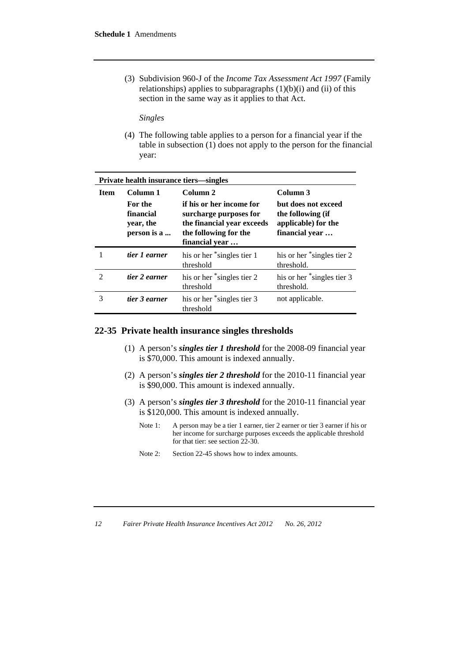(3) Subdivision 960-J of the *Income Tax Assessment Act 1997* (Family relationships) applies to subparagraphs  $(1)(b)(i)$  and  $(ii)$  of this section in the same way as it applies to that Act.

*Singles* 

 (4) The following table applies to a person for a financial year if the table in subsection (1) does not apply to the person for the financial year:

| <b>Private health insurance tiers—singles</b> |                                                  |                                                                                                                             |                                                                                   |
|-----------------------------------------------|--------------------------------------------------|-----------------------------------------------------------------------------------------------------------------------------|-----------------------------------------------------------------------------------|
| <b>Item</b>                                   | Column 1                                         | Column 2                                                                                                                    | Column 3                                                                          |
|                                               | For the<br>financial<br>year, the<br>person is a | if his or her income for<br>surcharge purposes for<br>the financial year exceeds<br>the following for the<br>financial year | but does not exceed<br>the following (if<br>applicable) for the<br>financial year |
|                                               | tier 1 earner                                    | his or her *singles tier 1<br>threshold                                                                                     | his or her *singles tier 2<br>threshold.                                          |
| $\mathfrak{D}$                                | tier 2 earner                                    | his or her *singles tier 2<br>threshold                                                                                     | his or her *singles tier 3<br>threshold.                                          |
| 3                                             | tier 3 earner                                    | his or her *singles tier 3<br>threshold                                                                                     | not applicable.                                                                   |

#### **22-35 Private health insurance singles thresholds**

- (1) A person's *singles tier 1 threshold* for the 2008-09 financial year is \$70,000. This amount is indexed annually.
- (2) A person's *singles tier 2 threshold* for the 2010-11 financial year is \$90,000. This amount is indexed annually.
- (3) A person's *singles tier 3 threshold* for the 2010-11 financial year is \$120,000. This amount is indexed annually.
	- Note 1: A person may be a tier 1 earner, tier 2 earner or tier 3 earner if his or her income for surcharge purposes exceeds the applicable threshold for that tier: see section 22-30.
	- Note 2: Section 22-45 shows how to index amounts.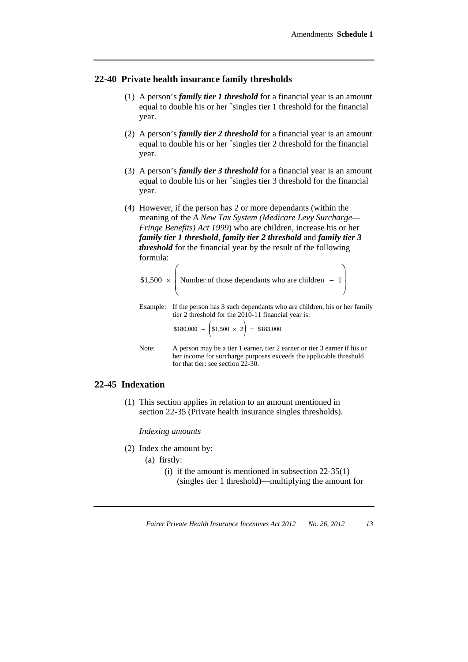#### **22-40 Private health insurance family thresholds**

- (1) A person's *family tier 1 threshold* for a financial year is an amount equal to double his or her \*singles tier 1 threshold for the financial year.
- (2) A person's *family tier 2 threshold* for a financial year is an amount equal to double his or her \*singles tier 2 threshold for the financial year.
- (3) A person's *family tier 3 threshold* for a financial year is an amount equal to double his or her \*singles tier 3 threshold for the financial year.
- (4) However, if the person has 2 or more dependants (within the meaning of the *A New Tax System (Medicare Levy Surcharge— Fringe Benefits) Act 1999*) who are children, increase his or her *family tier 1 threshold*, *family tier 2 threshold* and *family tier 3 threshold* for the financial year by the result of the following formula:

|          | \$1,500 $\times$ Number of those dependants who are children - 1                                                               |
|----------|--------------------------------------------------------------------------------------------------------------------------------|
| Example: | If the person has 3 such dependants who are children, his or her family<br>tier 2 threshold for the 2010-11 financial year is: |
|          | $$180,000 + $1,500 \times 2$ = $183,000$                                                                                       |
| Note:    | A person may be a tier 1 earner, tier 2 earner or tier 3 earner if his or                                                      |

her income for surcharge purposes exceeds the applicable threshold

# **22-45 Indexation**

 (1) This section applies in relation to an amount mentioned in section 22-35 (Private health insurance singles thresholds).

for that tier: see section 22-30.

*Indexing amounts* 

- (2) Index the amount by:
	- (a) firstly:
		- (i) if the amount is mentioned in subsection  $22-35(1)$ (singles tier 1 threshold)—multiplying the amount for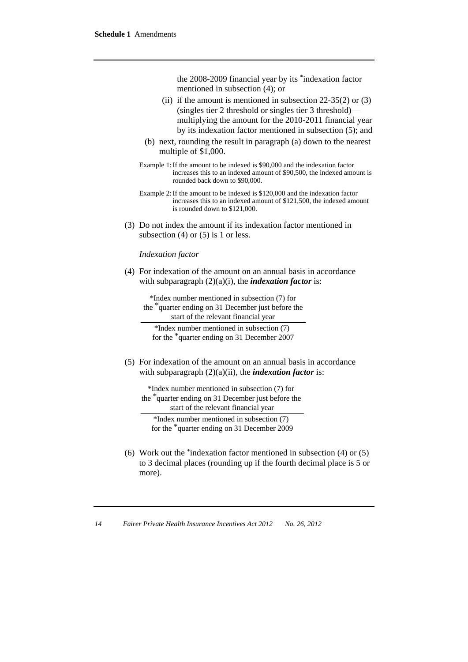the 2008-2009 financial year by its \*indexation factor mentioned in subsection (4); or

- (ii) if the amount is mentioned in subsection  $22-35(2)$  or  $(3)$ (singles tier 2 threshold or singles tier 3 threshold) multiplying the amount for the 2010-2011 financial year by its indexation factor mentioned in subsection (5); and
- (b) next, rounding the result in paragraph (a) down to the nearest multiple of \$1,000.
- Example 1: If the amount to be indexed is \$90,000 and the indexation factor increases this to an indexed amount of \$90,500, the indexed amount is rounded back down to \$90,000.
- Example 2: If the amount to be indexed is \$120,000 and the indexation factor increases this to an indexed amount of \$121,500, the indexed amount is rounded down to \$121,000.
- (3) Do not index the amount if its indexation factor mentioned in subsection  $(4)$  or  $(5)$  is 1 or less.

*Indexation factor* 

 (4) For indexation of the amount on an annual basis in accordance with subparagraph  $(2)(a)(i)$ , the *indexation factor* is:

\*Index number mentioned in subsection (7) for the <sup>\*</sup>quarter ending on 31 December just before the start of the relevant financial year

\*Index number mentioned in subsection  $(7)$  for the  $*$  quarter ending on 31 December 2007

 (5) For indexation of the amount on an annual basis in accordance with subparagraph  $(2)(a)(ii)$ , the *indexation factor* is:

```
*Index number mentioned in subsection (7) for 
the <sup>*</sup> quarter ending on 31 December just before the
         start of the relevant financial year
```
\*Index number mentioned in subsection  $(7)$  for the <sup>\*</sup>quarter ending on 31 December 2009

 (6) Work out the \*indexation factor mentioned in subsection (4) or (5) to 3 decimal places (rounding up if the fourth decimal place is 5 or more).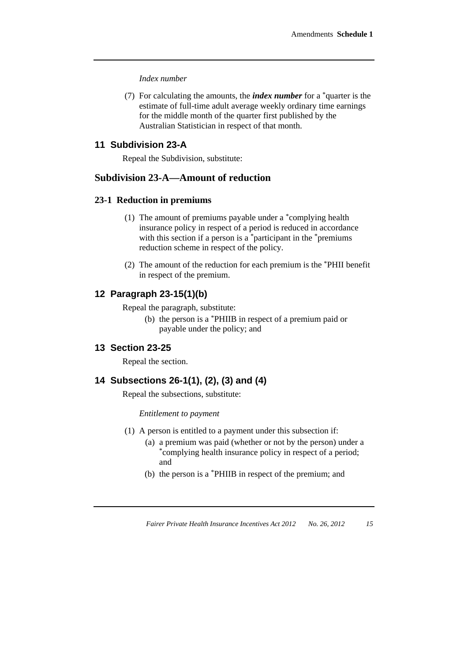*Index number* 

 (7) For calculating the amounts, the *index number* for a \*quarter is the estimate of full-time adult average weekly ordinary time earnings for the middle month of the quarter first published by the Australian Statistician in respect of that month.

# **11 Subdivision 23-A**

Repeal the Subdivision, substitute:

# **Subdivision 23-A—Amount of reduction**

#### **23-1 Reduction in premiums**

- (1) The amount of premiums payable under a \*complying health insurance policy in respect of a period is reduced in accordance with this section if a person is  $a^*$  participant in the \*premiums reduction scheme in respect of the policy.
- (2) The amount of the reduction for each premium is the \*PHII benefit in respect of the premium.

#### **12 Paragraph 23-15(1)(b)**

Repeal the paragraph, substitute:

(b) the person is a \*PHIIB in respect of a premium paid or payable under the policy; and

#### **13 Section 23-25**

Repeal the section.

#### **14 Subsections 26-1(1), (2), (3) and (4)**

Repeal the subsections, substitute:

*Entitlement to payment* 

- (1) A person is entitled to a payment under this subsection if:
	- (a) a premium was paid (whether or not by the person) under a \*complying health insurance policy in respect of a period; and
	- (b) the person is a \*PHIIB in respect of the premium; and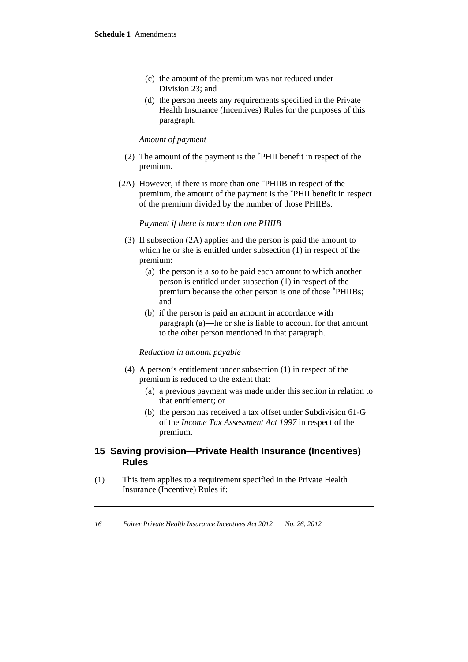- (c) the amount of the premium was not reduced under Division 23; and
- (d) the person meets any requirements specified in the Private Health Insurance (Incentives) Rules for the purposes of this paragraph.

#### *Amount of payment*

- (2) The amount of the payment is the \*PHII benefit in respect of the premium.
- (2A) However, if there is more than one \*PHIIB in respect of the premium, the amount of the payment is the \*PHII benefit in respect of the premium divided by the number of those PHIIBs.

#### *Payment if there is more than one PHIIB*

- (3) If subsection (2A) applies and the person is paid the amount to which he or she is entitled under subsection (1) in respect of the premium:
	- (a) the person is also to be paid each amount to which another person is entitled under subsection (1) in respect of the premium because the other person is one of those \*PHIIBs; and
	- (b) if the person is paid an amount in accordance with paragraph (a)—he or she is liable to account for that amount to the other person mentioned in that paragraph.

#### *Reduction in amount payable*

- (4) A person's entitlement under subsection (1) in respect of the premium is reduced to the extent that:
	- (a) a previous payment was made under this section in relation to that entitlement; or
	- (b) the person has received a tax offset under Subdivision 61-G of the *Income Tax Assessment Act 1997* in respect of the premium.

## **15 Saving provision—Private Health Insurance (Incentives) Rules**

(1) This item applies to a requirement specified in the Private Health Insurance (Incentive) Rules if: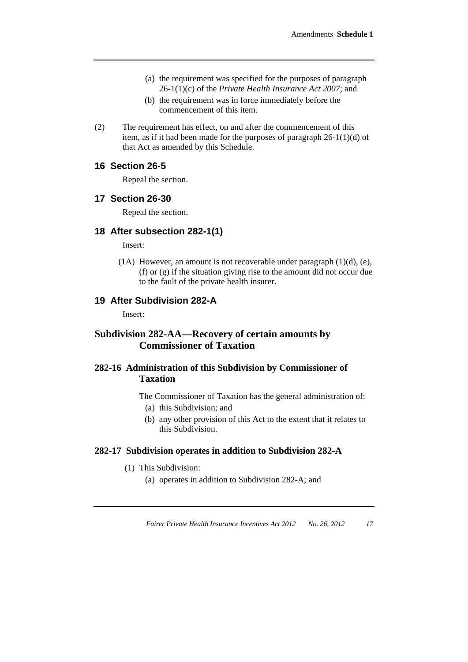- (a) the requirement was specified for the purposes of paragraph 26-1(1)(c) of the *Private Health Insurance Act 2007*; and
- (b) the requirement was in force immediately before the commencement of this item.
- (2) The requirement has effect, on and after the commencement of this item, as if it had been made for the purposes of paragraph 26-1(1)(d) of that Act as amended by this Schedule.

#### **16 Section 26-5**

Repeal the section.

#### **17 Section 26-30**

Repeal the section.

#### **18 After subsection 282-1(1)**

Insert:

 (1A) However, an amount is not recoverable under paragraph (1)(d), (e), (f) or (g) if the situation giving rise to the amount did not occur due to the fault of the private health insurer.

### **19 After Subdivision 282-A**

Insert:

# **Subdivision 282-AA—Recovery of certain amounts by Commissioner of Taxation**

# **282-16 Administration of this Subdivision by Commissioner of Taxation**

The Commissioner of Taxation has the general administration of:

- (a) this Subdivision; and
- (b) any other provision of this Act to the extent that it relates to this Subdivision.

#### **282-17 Subdivision operates in addition to Subdivision 282-A**

- (1) This Subdivision:
	- (a) operates in addition to Subdivision 282-A; and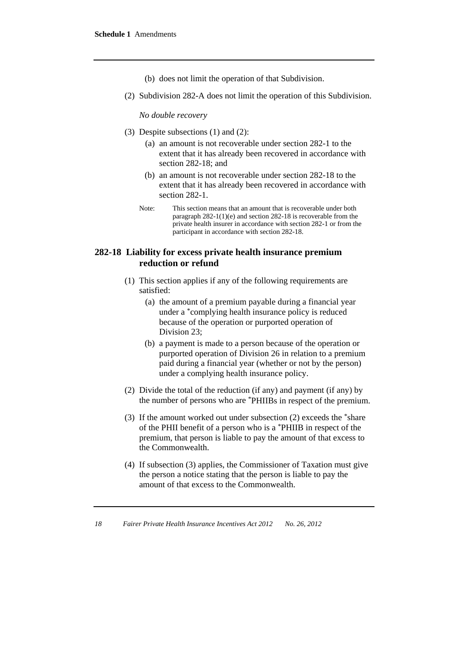- (b) does not limit the operation of that Subdivision.
- (2) Subdivision 282-A does not limit the operation of this Subdivision.

*No double recovery* 

- (3) Despite subsections (1) and (2):
	- (a) an amount is not recoverable under section 282-1 to the extent that it has already been recovered in accordance with section 282-18; and
	- (b) an amount is not recoverable under section 282-18 to the extent that it has already been recovered in accordance with section 282-1.
	- Note: This section means that an amount that is recoverable under both paragraph 282-1(1)(e) and section 282-18 is recoverable from the private health insurer in accordance with section 282-1 or from the participant in accordance with section 282-18.

# **282-18 Liability for excess private health insurance premium reduction or refund**

- (1) This section applies if any of the following requirements are satisfied:
	- (a) the amount of a premium payable during a financial year under a \*complying health insurance policy is reduced because of the operation or purported operation of Division 23;
	- (b) a payment is made to a person because of the operation or purported operation of Division 26 in relation to a premium paid during a financial year (whether or not by the person) under a complying health insurance policy.
- (2) Divide the total of the reduction (if any) and payment (if any) by the number of persons who are \*PHIIBs in respect of the premium.
- (3) If the amount worked out under subsection (2) exceeds the \*share of the PHII benefit of a person who is a \*PHIIB in respect of the premium, that person is liable to pay the amount of that excess to the Commonwealth.
- (4) If subsection (3) applies, the Commissioner of Taxation must give the person a notice stating that the person is liable to pay the amount of that excess to the Commonwealth.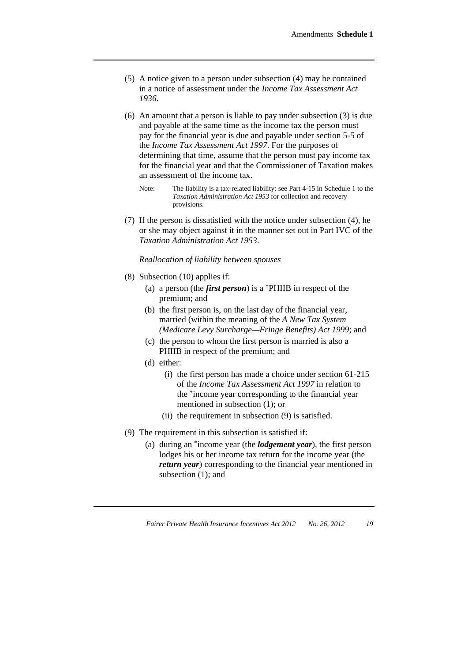- (5) A notice given to a person under subsection (4) may be contained in a notice of assessment under the *Income Tax Assessment Act 1936*.
- (6) An amount that a person is liable to pay under subsection (3) is due and payable at the same time as the income tax the person must pay for the financial year is due and payable under section 5-5 of the *Income Tax Assessment Act 1997*. For the purposes of determining that time, assume that the person must pay income tax for the financial year and that the Commissioner of Taxation makes an assessment of the income tax.
	- Note: The liability is a tax-related liability: see Part 4-15 in Schedule 1 to the *Taxation Administration Act 1953* for collection and recovery provisions.
- (7) If the person is dissatisfied with the notice under subsection (4), he or she may object against it in the manner set out in Part IVC of the *Taxation Administration Act 1953*.

*Reallocation of liability between spouses* 

- (8) Subsection (10) applies if:
	- (a) a person (the *first person*) is a \*PHIIB in respect of the premium; and
	- (b) the first person is, on the last day of the financial year, married (within the meaning of the *A New Tax System (Medicare Levy Surcharge—Fringe Benefits) Act 1999*; and
	- (c) the person to whom the first person is married is also a PHIIB in respect of the premium; and
	- (d) either:
		- (i) the first person has made a choice under section 61-215 of the *Income Tax Assessment Act 1997* in relation to the \*income year corresponding to the financial year mentioned in subsection (1); or
		- (ii) the requirement in subsection (9) is satisfied.
- (9) The requirement in this subsection is satisfied if:
	- (a) during an \*income year (the *lodgement year*), the first person lodges his or her income tax return for the income year (the *return year*) corresponding to the financial year mentioned in subsection (1); and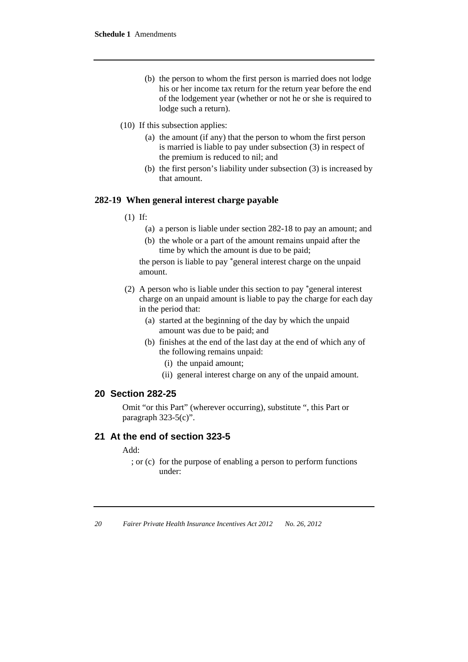- (b) the person to whom the first person is married does not lodge his or her income tax return for the return year before the end of the lodgement year (whether or not he or she is required to lodge such a return).
- (10) If this subsection applies:
	- (a) the amount (if any) that the person to whom the first person is married is liable to pay under subsection (3) in respect of the premium is reduced to nil; and
	- (b) the first person's liability under subsection (3) is increased by that amount.

#### **282-19 When general interest charge payable**

- (1) If:
	- (a) a person is liable under section 282-18 to pay an amount; and
	- (b) the whole or a part of the amount remains unpaid after the time by which the amount is due to be paid;

the person is liable to pay \*general interest charge on the unpaid amount.

- (2) A person who is liable under this section to pay \*general interest charge on an unpaid amount is liable to pay the charge for each day in the period that:
	- (a) started at the beginning of the day by which the unpaid amount was due to be paid; and
	- (b) finishes at the end of the last day at the end of which any of the following remains unpaid:
		- (i) the unpaid amount;
		- (ii) general interest charge on any of the unpaid amount.

#### **20 Section 282-25**

Omit "or this Part" (wherever occurring), substitute ", this Part or paragraph 323-5(c)".

#### **21 At the end of section 323-5**

Add:

 ; or (c) for the purpose of enabling a person to perform functions under: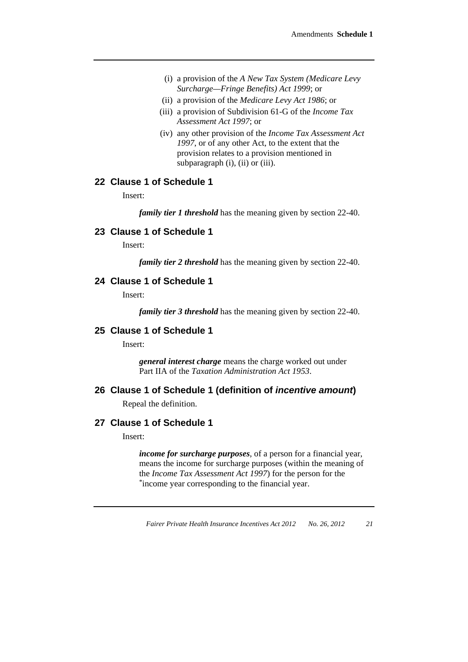- (i) a provision of the *A New Tax System (Medicare Levy Surcharge—Fringe Benefits) Act 1999*; or
- (ii) a provision of the *Medicare Levy Act 1986*; or
- (iii) a provision of Subdivision 61-G of the *Income Tax Assessment Act 1997*; or
- (iv) any other provision of the *Income Tax Assessment Act 1997*, or of any other Act, to the extent that the provision relates to a provision mentioned in subparagraph (i), (ii) or (iii).

## **22 Clause 1 of Schedule 1**

Insert:

*family tier 1 threshold* has the meaning given by section 22-40.

#### **23 Clause 1 of Schedule 1**

Insert:

*family tier 2 threshold* has the meaning given by section 22-40.

#### **24 Clause 1 of Schedule 1**

Insert:

*family tier 3 threshold* has the meaning given by section 22-40.

# **25 Clause 1 of Schedule 1**

Insert:

*general interest charge* means the charge worked out under Part IIA of the *Taxation Administration Act 1953*.

#### **26 Clause 1 of Schedule 1 (definition of** *incentive amount***)**

Repeal the definition.

#### **27 Clause 1 of Schedule 1**

Insert:

*income for surcharge purposes*, of a person for a financial year, means the income for surcharge purposes (within the meaning of the *Income Tax Assessment Act 1997*) for the person for the \*income year corresponding to the financial year.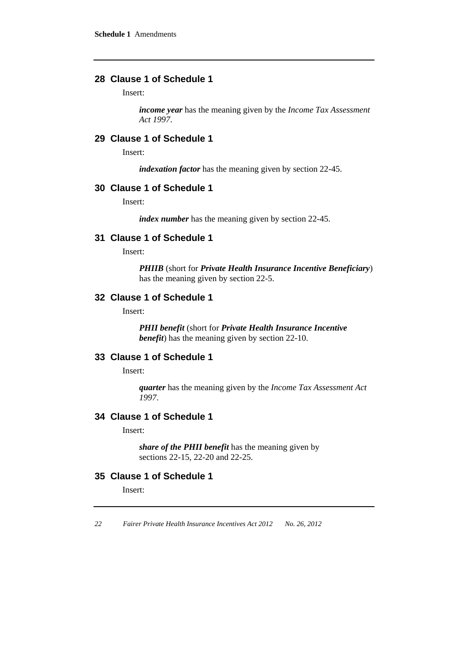# **28 Clause 1 of Schedule 1**

Insert:

*income year* has the meaning given by the *Income Tax Assessment Act 1997*.

# **29 Clause 1 of Schedule 1**

Insert:

*indexation factor* has the meaning given by section 22-45.

#### **30 Clause 1 of Schedule 1**

Insert:

*index number* has the meaning given by section 22-45.

# **31 Clause 1 of Schedule 1**

Insert:

*PHIIB* (short for *Private Health Insurance Incentive Beneficiary*) has the meaning given by section 22-5.

# **32 Clause 1 of Schedule 1**

Insert:

*PHII benefit* (short for *Private Health Insurance Incentive benefit*) has the meaning given by section 22-10.

# **33 Clause 1 of Schedule 1**

Insert:

*quarter* has the meaning given by the *Income Tax Assessment Act 1997*.

#### **34 Clause 1 of Schedule 1**

Insert:

*share of the PHII benefit* has the meaning given by sections 22-15, 22-20 and 22-25.

## **35 Clause 1 of Schedule 1**

Insert: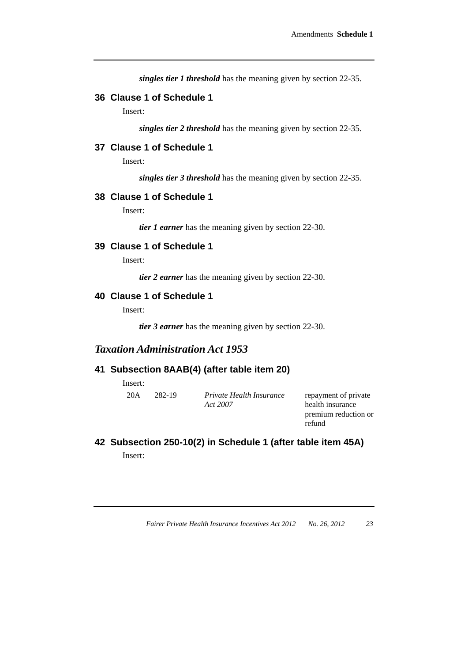*singles tier 1 threshold* has the meaning given by section 22-35.

# **36 Clause 1 of Schedule 1**

Insert:

*singles tier 2 threshold* has the meaning given by section 22-35.

# **37 Clause 1 of Schedule 1**

Insert:

*singles tier 3 threshold* has the meaning given by section 22-35.

#### **38 Clause 1 of Schedule 1**

Insert:

*tier 1 earner* has the meaning given by section 22-30.

# **39 Clause 1 of Schedule 1**

Insert:

*tier 2 earner* has the meaning given by section 22-30.

### **40 Clause 1 of Schedule 1**

Insert:

*tier 3 earner* has the meaning given by section 22-30.

# *Taxation Administration Act 1953*

#### **41 Subsection 8AAB(4) (after table item 20)**

Insert:

20A 282-19 *Private Health Insurance Act 2007*

repayment of private health insurance premium reduction or refund

**42 Subsection 250-10(2) in Schedule 1 (after table item 45A)**  Insert: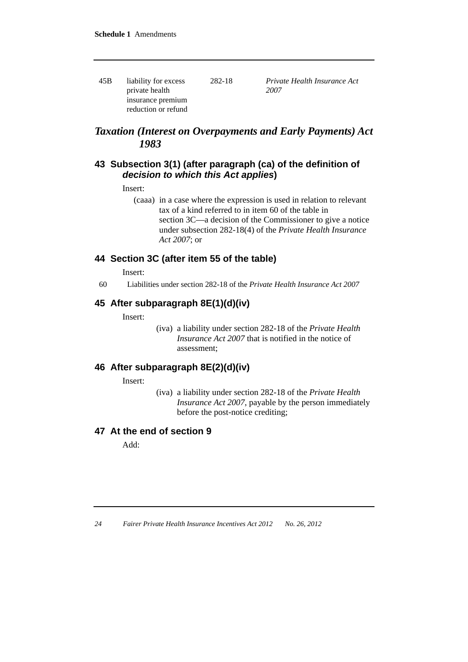45B liability for excess private health insurance premium reduction or refund 282-18 *Private Health Insurance Act 2007*

# *Taxation (Interest on Overpayments and Early Payments) Act 1983*

# **43 Subsection 3(1) (after paragraph (ca) of the definition of**  *decision to which this Act applies***)**

Insert:

 (caaa) in a case where the expression is used in relation to relevant tax of a kind referred to in item 60 of the table in section 3C—a decision of the Commissioner to give a notice under subsection 282-18(4) of the *Private Health Insurance Act 2007*; or

# **44 Section 3C (after item 55 of the table)**

Insert:

60 Liabilities under section 282-18 of the *Private Health Insurance Act 2007*

# **45 After subparagraph 8E(1)(d)(iv)**

Insert:

(iva) a liability under section 282-18 of the *Private Health Insurance Act 2007* that is notified in the notice of assessment;

# **46 After subparagraph 8E(2)(d)(iv)**

Insert:

(iva) a liability under section 282-18 of the *Private Health Insurance Act 2007*, payable by the person immediately before the post-notice crediting;

# **47 At the end of section 9**

Add: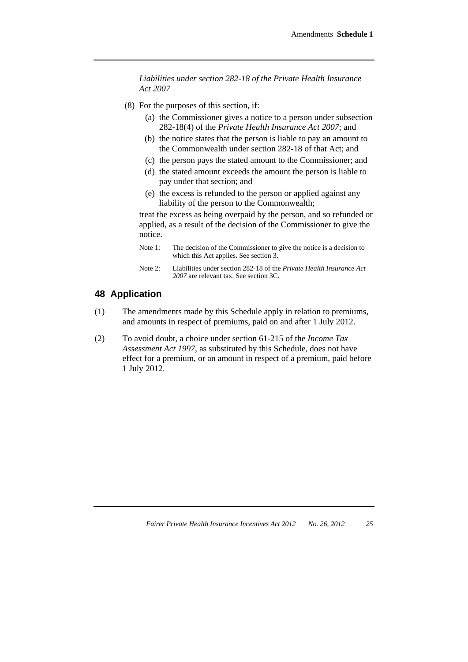*Liabilities under section 282-18 of the Private Health Insurance Act 2007*

- (8) For the purposes of this section, if:
	- (a) the Commissioner gives a notice to a person under subsection 282-18(4) of the *Private Health Insurance Act 2007*; and
	- (b) the notice states that the person is liable to pay an amount to the Commonwealth under section 282-18 of that Act; and
	- (c) the person pays the stated amount to the Commissioner; and
	- (d) the stated amount exceeds the amount the person is liable to pay under that section; and
	- (e) the excess is refunded to the person or applied against any liability of the person to the Commonwealth;

treat the excess as being overpaid by the person, and so refunded or applied, as a result of the decision of the Commissioner to give the notice.

- Note 1: The decision of the Commissioner to give the notice is a decision to which this Act applies. See section 3.
- Note 2: Liabilities under section 282-18 of the *Private Health Insurance Act 2007* are relevant tax. See section 3C.

# **48 Application**

- (1) The amendments made by this Schedule apply in relation to premiums, and amounts in respect of premiums, paid on and after 1 July 2012.
- (2) To avoid doubt, a choice under section 61-215 of the *Income Tax Assessment Act 1997*, as substituted by this Schedule, does not have effect for a premium, or an amount in respect of a premium, paid before 1 July 2012.